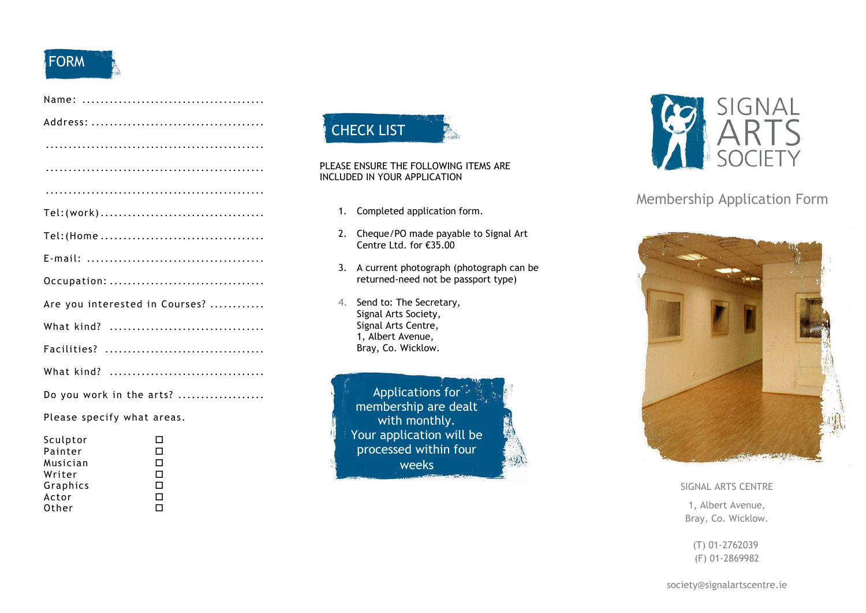# **FORM**

| Occupation:                    |
|--------------------------------|
| Are you interested in Courses? |
|                                |
|                                |
|                                |
| Do you work in the arts?       |
| Please specify what areas.     |

| Sculptor | П |
|----------|---|
| Painter  | □ |
| Musician | □ |
| Writer   | □ |
| Graphics | п |
| Actor    | п |
| Other    | п |
|          |   |



#### PLEASE ENSURE THE FOLLOWING ITEMS ARE INCLUDED IN YOUR APPLICATION

- 1. Completed application form.
- 2. Cheque/PO made payable to Signal Art Centre Ltd. for €35.00
- 3. A current photograph (photograph can be returned-need not be passport type)
- 4. Send to: The Secretary, Signal Arts Society, Signal Arts Centre, 1, Albert Avenue, Bray, Co. Wicklow.

Applications for<sup>2</sup> membership are dealt with monthly. Your application will be processed within four weeks



## Membership Application Form



#### SIGNAL ARTS CENTRE

1, Albert Avenue, Bray, Co. Wicklow.

(T) 01-2762039 (F) 01-2869982